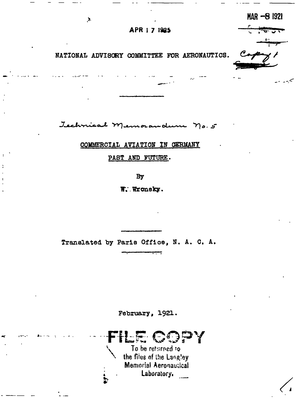APR | 7 1925

سي په په

MAR -8 1921

NATIONAL ADVISORY COMMITTEE FOR AERONAUTICS.

 $\lambda$ 

Technical Memorandum no. 5

COMMERCIAL AVIATION IN GERMANY

PAST AND FUTURE.

By

W. Wronsky.

Translated by Paris Office, N. A. C. A.

February, 1921.

 $\frac{1}{2}$ To be returned to the files of the Langley Memorial Aeronautical Laboratory.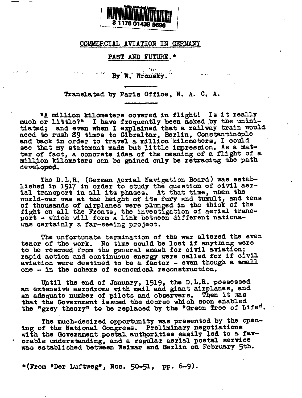

## COMMERCIAL AVIATION IN GERMANY

## PAST AND FUTURE. \*

By W. Wronsky.

Translated by Paris Office, N. A. C. A.

"A million kilometers covered in flight! Is it really much or little?" I have frequently been asked by the uninitiated; and even when I explained that a railway train would need to rush 89 times to Gibraltar, Berlin, Constantinople and back in order to travel a million kilometers, I could see that my statement made but little impression. As a mat-<br>ter of fact, a concrete idea of the meaning of a flight of a million kilometers can be gained only be retracing the path developed.

The D.L.R. (German Aerial Navigation Board) was estab-<br>lished in 1917 in order to study the question of civil aerial transport in all its phases. At that time, when the world-war was at the height of its fury and tumult, and tens of thousands of airplanes were plunged in the thick of the fight on all the Fronts, the investigation of aerial trans-<br>port - which will form a link between different nationswas certainly a far-seeing project.

The unfortunate termination of the war altered the even tenor of the work. No time could be lost if anything were to be rescued from the general smash for civil aviation; rapid action and continuous energy were called for if civil aviation were destined to be a factor - even though a small one - in the scheme of economical reconstruction.

Until the end of January, 1919, the D.L.R. possessed an extensive aerodrome with mail and giant airplanes, and an adequate number of pilots and observers. Then it was that the Government issued the decree which soon enabled the "grey theory" to be replaced by the "Green Tree of Life".

The much-desired opportunity was presented by the opening of the National Congress. Preliminary negotiations with the Government postal authorities easily led to a favorable understanding, and a regular aerial postal service was established between Weimar and Berlin on February 5th.

\*(From "Der Luftweg", Nos. 50-51, pp. 6-9).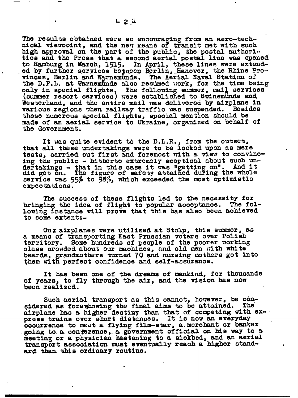The results obtained were so encouraging from an aero-technical viewpoint, and the new means of transit met with such high approval on the part of the public, the postal authorities and the Press that a second aerial postal line was opened to Hamburg in March, 1919. In April, these lines were extended by further services between Berlin, Hanover, the Rhine Pro-<br>vinces, Berlin and Warnemunde. The Aerial Naval Station of the D.P.L. at Warnemunde also resumed work, for the time being only in special flights. The following summer, mail services (summer resort services) were established to Swinemunde and Westerland, and the entire mail was delivered by airplane in various regions when railway traffic was suspended. Besides these numerous special flights, special mention should be made of an aerial service to Ukraine, organized on behalf of the Government.

It was quite evident to the D.L.R., from the outset, that all these undertakings were to be looked upon as mere tests, carried out first and foremost with a view to convincing the public - hitherto extremely sceptical about such undertakings - that in this case it was "getting on". And it<br>did get on. The figure of safety attained during the whole service was 95% to 98%, which exceeded the most optimistic expectations.

The success of these flights led to the necessity for bringing the idea of flight to popular acceptance. The following instance will prove that this has also been achieved to some extent:-

Our airplanes were utilized at Stolp, this summer, as a means of transporting East Prussian voters over Polish territory. Some hundreds of people of the poorer working class crowded about our machines, and old men with white beards, grandmothers turned 70 and nursing mothers got into them with perfect confidence and self-assurance.

It has been one of the dreams of mankind, for thousands of years, to fly through the air, and the vision has now been realized.

Such aerial transport as this cannot, however, be considered as fore showing the final aims to be attained. **The** airplane has a higher destiny than that of competing with express trains over short distances. It is now an everyday occurrence to meet a flying film-star, a merchant or banker going to a conference, a government official on his way to a meeting or a physician hastening to a sickbed, and an aerial transport association must eventually reach a higher standard than this ordinary routine.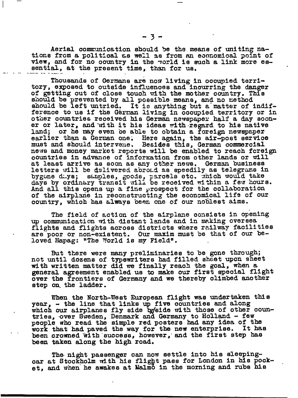Aerial communication should be the means of uniting nations from a political as well as from an economical point of view, and for no country in the world is such a link more essential, at the present time, than for us.

Thousands of Germans are now living in occupied territory, exposed to outside influences and incurring the danger of getting out of close touch with the mother country. This should be prevented by all possible means, and no method should be left untried. It is anything but a matter of indifference to us if the German living in occupied territory or in other countries received his German newspaper half a day sooner or later, and with it his ideas with regard to his native land; or he may even be able to obtain a foreign newspaper earlier than a German one. Here again, the air-post service must and should intervene. Besides this, German commercial news and money market reports will be enabled to reach foreign countries in advance of information from other lands or will at least arrive as soon as any other news. German business letters will be delivered abroad as speedily as telegrams in bygone duys; samples, goods, parcels etc. which would take days by ordinary transit will be received within a few hours. And all this opens up a fine prospect for the collaboration of the airplane in reconstructing the economical life of our country, which has always been one of our noblest aims.

The field of action of the airplane consists in opening up communication with distant lands and in making oversea flights and flights across districts where railway facilities are poor or non-existent. Our maxim must be that of our beloved Hapag: "The World is my Field".

But there were many preliminaries to be gone through; not until dozens of typewriters had filled sheet upon sheet with written matter did we finally reach the goal, when a general agreement enabled us to make our first special flight over the frontiers of Germany and we thereby climbed another step on the ladder.

When the North-West European flight was undertaken this year, - the line that links up five countries and along which our airplanes fly side byside with those of other coun-<br>tries, over Sweden, Denmark and Germany to Holland - few people who read the simple red posters had any idea of the work that had paved the way for the new enterprise. It has been crowned with success, however, and the first step has been taken along the high road.

The night passenger can now settle into his sleepingcar at Stockholm with his flight pass for London in his pocket, and when he awakes at Malmo in the morning and rubs his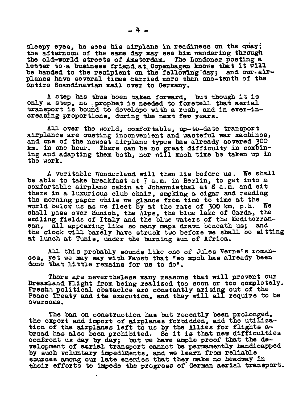sleepy eyes, he sses his airplane in readiness on the quay; the afternoon of the same day may see him wandering through the old-world streets of Amsterdam. The Lomioner posting a letter to a business friend at Copenhagen knows that it will be handed to the recipient on the following day: and our-airbe handed to the recipient on the following day; planes have several times carried more than one-tenth of the entire Scandinavian mail over to Germany.

A step has thus been taken forward, but though It is only a step, no prophet is needed to foretell that aerial transport is bound to develope with a rush, and in ever-in-Oreasing proportions, during the next few years.

All over the world, comfortable,  $up$ -to-date transport airplanes are ousting inconvenient and wasteful war machines, and 0n8 Of the newest airplane types has already oovered 300 km. in one hour. There can be **no** great difficulty in oombining and adapting them both, nor will much time be taken up in the work.

A veritable Wonderland will then lie before us. We shall be able to take breakfast at  $7$  a.m. in Berlin, to get into a comfortable airplane cabin at Johannisthal at 8 a.m. and sit there in a luxurious club chair, smoking a cigar and reading the morning paper while **we glance** from time to time at the world below us as we fleet by at the rate of 300 km. p.h. We shall pass over Munioh, the Alps, the blue lake of Garda, the smiling fields of **Italy &,nd the blue waters Of** the Mediterranean, all appearing like so many maps drawn beneath us; and the clook will barely have struck two before we shall be sitting at lunch at Tunis, under the burning sun of Africa.

All this probably sounds like one of Jules Verne's roman- $\cos$ , yet we may say with Faust that "so much has already been done that little remains for us to do".

There are nevertheless many reasons that will prevent our Dreamland Flight from being realized too soon or too completely. Fresh: political obstacles are constantly arising out of the Peace Treaty and its execution, and they will all require to be overoome.

The ban on construction has but recently been prolonged, the export and import of airplanes forbidden, and the utilization of the airplanes left to us by the Allies for flights abroad has also been prohibited. So it is that new difficulties confront us day by day; but we have ample proof that the development of acrial transport cannot be permanently handicapped by such voluntary impediments, and we learn from reliable sources among our late eneries that they make no headway in their efforts to impede the progress of German aerial transport.

.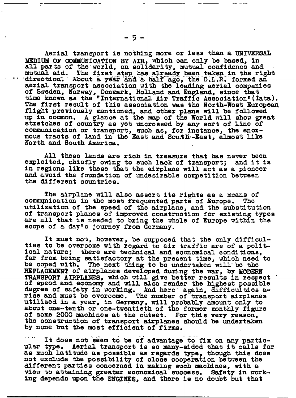Aerial transport is nothing more or less than a UNIVERSAL MEDIUM OF COMMUNICATION BY AIR, which can only be based, in all parts of the world, on solidarity, mutual confidence and mutual aid. The first step has already been taken in the right<br>About a year and a half ago, the D.L.R. formed an direction. aerial transport association with the leading aerial companies of Sweden, Norway, Denmark, Holland and England, since that time known as the "International Air Traffic Association" (Iata). The first result of this association was the North-West European flight previously mentioned, and other plans will be followed up in common. A glance at the map of the World will show great stretches of country as yet uncrossed by any sort of line of communication or transport, such as, for instance, the enormous tracts of land in the East and South-East, almost like North and South America.

All these lands are rich in treasure that has never been<br>exploited, chiefly owing to such lack of transport; and it is in regions like these that the airplane will act as a pioneer and avoid the foundation of undesirable competition between the different countries.

The sirplane will also assert its rights as a means of communication in the most frequented parts of Europe. The utilization of the speed of the airplane, and the substitution of transport planes of improved construction for existing types are all that is needed to bring the whole of Europe within the scope of a day's journey from Germany.

It must not, however, be supposed that the only difficulties to be overcome with regard to air traffic are of a political nature; there are technical and economical conditions, far from being satisfactory at the present time, which need to be coped with. The next thing to be undertaken will be the REPLACEMENT of airplanes developed during the war, by MODERN TRANSPORT AIRPLANES, which will give better results in respect<br>of speed and economy and will also render the highest possible<br>degree of safety in working. And here again, difficulties a-<br>rise and must be overcome. The numb utilized in a year, in Germany, will probably amount only to about one-tenth or one-twentieth of the former monthly figure of some 2000 machines at the outset. For this very reason, the construction of transport airplanes should be undertaken by none but the most efficient of firms.

It does not seem to be of advantage to fix on any particular type. Aerial transport is so many-sided that it calls for as much latitude as possible as regards type, though this does not exclude the possibility of close cooperation between the different parties concerned in making such machines, with a view to attaining greater economical success. Safety in working depends upon the ENGINES, and there is no doubt but that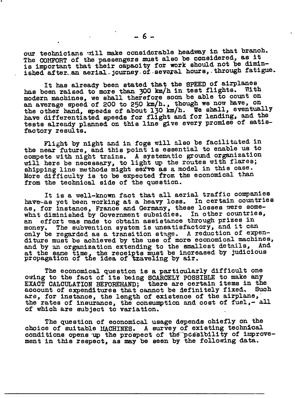our technicians will make considerable headway in that branch. The COMFORT of the passengers must also be considered, as it is important that their capacity for work should not be diminished after an aerial journey of several hours, through fatigue.

It has already been stated that the SPEED of airplanes has been raised to more than 300 km/h in test flights. With modern machines, we shall therefore soon be able to count on an average speed of 200 to 250 km/h., though we now have, On the other hand, speeds of about 130 km/h. We shall, eventually have differentiated speeds for flight and for lending, and the tests already planned on this line give every promise of satisfactory results.

Flight by night and in fogs will also be facilitated in the near future, and this point is essential to enable us to compete with night trains. A systematic ground organization will here be necessary, to light up the routes with flares; shipping line methods **might SefYe ~S ~ model in** *this* case. More difficulty is to be expected from the economical than from the technical side of the question.

It is a well-known fact that all aerial traffic compmies have-as yet been working at a heavy loss. In certain countries as, for instance, France and Germany, these losses were somewhat diminished by Government subsidies. In other countries, an effort mas made to obtain assistance through prizes in money. The subvention system is unsatisfactory, and it can only be regarded as a transition stage. A reduction of expenditure must be achieved by the use of more economical machines, and by an organization extending to the smallest details, And at the same time, the receipts must be increased by judicious propagation of the idea of traveling by air.

The economical question is a particularly difficult one owing to the fact of its being SCARCELY POSSIBLE to make any EXACT CALCULATION BEFOREHAND; there are certain items in the aocount of expenditures that cannot be definitely fixed. Such are, for instance, the length of existence of the airplane, the rates of insurance, the consumption and cost of fuel,- all of which are subject to variation.

The question of economical usage depends chiefly on the choice of suitable MACHINES. A survey of existing technical conditions opens up the prospect of the possibility of improvement in this respect, as may be seen by the following data.

.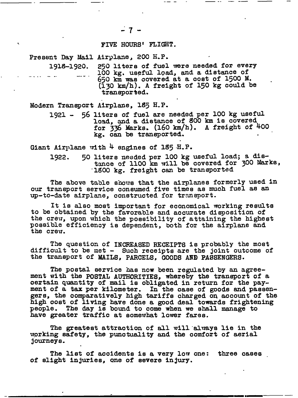## FIVE HOURS' FLIGHT.

Present Day Mail Airplane, 200 H.P.

1918-1920. 250 liters of fuel were needed for every 100 kg. useful load, and a distance of 650 km was oovered at a cost of 1500 M.  $(i$  30 km/h). A freight of 150 kg could be transported.

—. .— - - —- .-— ..— —

Modern Transport Airplane, 185 H.P.

**1921 - 56** liters of fuel are needed per 100 kg useful load, and a distance of 800 km is covered for  $336$  Marks.  $(160 \text{ km/h})$ . A freight of  $400$ kg. can be transported.

Giant Airplane with  $4$  engines of 185 H.P.

**1922.** 50 liters needed per 100 kg useful load; a distance of 1100 km will be covered for 300 Marks, '1800 kg. freight can be transported

The above table shows that the airplanes formerly used in our transport service consumed five times as much fuel as an up-to-date airplane, constructed for transport.

It is also most important for economical working results to be obtained by the favorable and accurate disposition of the crew, upon which the possibility of attaining the highest possible efficiency is dependent, both for the airplane and the crew.

The question of INCREASED RECEIPTS is probably the most difficult to be met - Such receipts are the joint outcome of the transport of MAILS, PARCELS, GOODS AND PASSENGERS.

The postal service has now been regulated by an agreement with the POSTAL AUTHORITIES, whereby the transport of a oertain quantity of mail is obligated in return for the payment of a tax per kilometer. In the case of goods end passengers, the comparatively high tariffs charged oq account of the high oost of living have done a good deal towards frightening people. The day is bound to come when we shall manage to have greater traffic at somewhat lower fares.

The greatest attraction of all will always lie in the working safety, the punctuality and the comfort of aerial journeys.

The list of accidents is a very low one: three cases of slight injuries, one of severe injury.

✎

— . — ■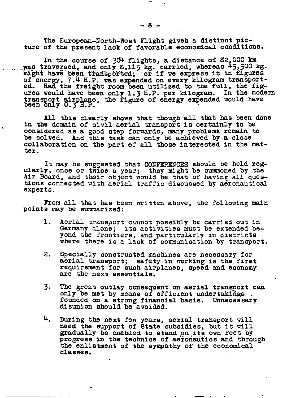The European-North-West Flight gives a distinct picture of the present lack of favorable eoonomlcal conditions.

In the course of 304 flights, a distance of 82,000 km was traversed, and only  $s$ ,115 kg. carried, whereas  $45,500$  kg. might have been transported; or if we express it in figures 7.4 H.P. was expended on every kilogram transported. Had the freight room been utilized to the full, the figures wbuld have been only 1.3 H.P, per kilogram. In the modern transport airplane transport airplane, the figure of energy expended would have been only O.3 H.P.

All this clearly shows that though all that has been done in the domain of civil aerial transport is certainly to be considered as a good step forwards, many problemb remain to be solved. And this task can only be achieved by a close collaboration on the part of all those interested in the matter.

It may be suggested that CONFERENCES should be held regularly, once or twice a year; they might be summoned by the Air Board, and their object would be that of having all questions connected with aerial traffic discussed by aeronautical experts.

From all that has been written above, the folloning main points may be summarized:

- 1. Aerial transport cannot possibly be carried out in Germany alone; its activities must be extended beyond the frontiers, and particularly in districts where there is a lack of communication by transport.
- 2, Specially constructed machines are necessary for aerial transport; safety in  $\pi$ orking is the first requirement for such airplanes, speed and economy are the next essentials.
- **3.** The great outlay consequent on aerial transport can only be met by means of efficient undertakings . founded on a strong financial basis. Unnecessary disunion should be avoided.
- **4.** During the next few years, aerial transport will need the support of State subsidies, but it will gradually be enabled to stand on its own feet by progress in the technics of aeronautics and through the enlistment of the sympathy of the economical classes.

—-

.

.

-—- . .— ..

-.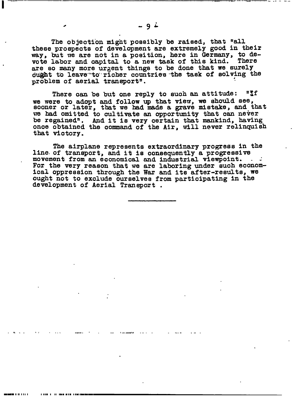The objection might possibly be raised, that "all these prospects of development are extremely good in their way, but we are not in a position, here in Germany, to devote labor and capital to a new task of this kind. **There** are so many more urgent things to be done that we surely ought to leave to richer countries the task of solving the problem of aerial transport".

"If There can be but one reply to such an attitude: we were to adopt and follow up that view, we should see, sooner or later, that we had made a grave mistake, and that we had omitted to cultivate an opportunity that can never be regained". And it is very certain that mankind, having once obtained the command of the Air, will never relinquish that victory.

The airplane represents extraordinary progress in the line of transport, and it is consequently a progressive movement from an economical and industrial viewpoint. For the very reason that we are laboring under such economical oppression through the War and its after-results, we ought not to exclude ourselves from participating in the development of Aerial Transport.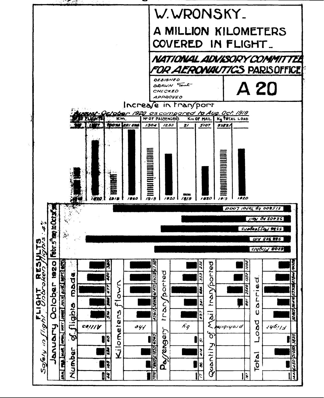